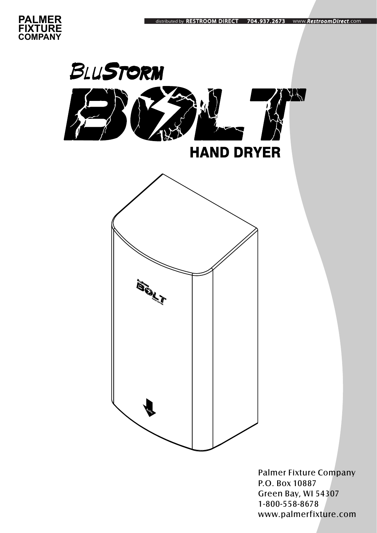



Palmer Fixture Company P.O. Box 10887 Green Bay, WI 54307 1-800-558-8678 www.palmerfixture.com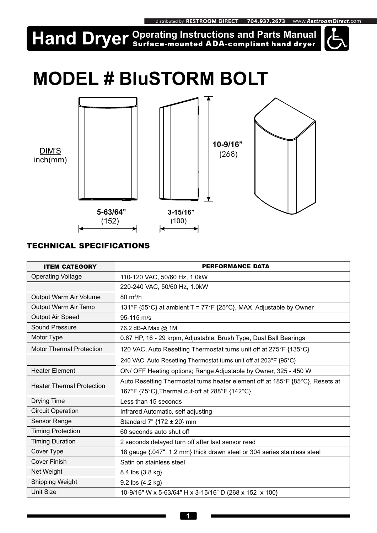#### uted by RESTROOM DIRECT 704.937.2673 www.RestroomDirect.com

# **Hand Dryer** *Surface-mounted ADA-compliant hand dryer*



# **MODEL # BluSTORM BOLT**



#### *TECHNICAL SPECIFICATIONS*

| <b>ITEM CATEGORY</b>             | <b>PERFORMANCE DATA</b>                                                       |
|----------------------------------|-------------------------------------------------------------------------------|
| <b>Operating Voltage</b>         | 110-120 VAC, 50/60 Hz, 1.0kW                                                  |
|                                  | 220-240 VAC, 50/60 Hz, 1.0kW                                                  |
| Output Warm Air Volume           | $80 \text{ m}^3/h$                                                            |
| Output Warm Air Temp             | 131°F {55°C} at ambient T = 77°F {25°C}, MAX, Adjustable by Owner             |
| Output Air Speed                 | 95-115 m/s                                                                    |
| Sound Pressure                   | 76.2 dB-A Max @ 1M                                                            |
| Motor Type                       | 0.67 HP, 16 - 29 krpm, Adjustable, Brush Type, Dual Ball Bearings             |
| <b>Motor Thermal Protection</b>  | 120 VAC, Auto Resetting Thermostat turns unit off at 275°F {135°C}            |
|                                  | 240 VAC, Auto Resetting Thermostat turns unit off at 203°F {95°C}             |
| <b>Heater Element</b>            | ON/ OFF Heating options; Range Adjustable by Owner, 325 - 450 W               |
| <b>Heater Thermal Protection</b> | Auto Resetting Thermostat turns heater element off at 185°F {85°C}, Resets at |
|                                  | 167°F {75°C}, Thermal cut-off at 288°F {142°C}                                |
| <b>Drying Time</b>               | Less than 15 seconds                                                          |
| <b>Circuit Operation</b>         | Infrared Automatic, self adjusting                                            |
| Sensor Range                     | Standard 7" {172 ± 20} mm                                                     |
| <b>Timing Protection</b>         | 60 seconds auto shut off                                                      |
| <b>Timing Duration</b>           | 2 seconds delayed turn off after last sensor read                             |
| Cover Type                       | 18 gauge {.047", 1.2 mm} thick drawn steel or 304 series stainless steel      |
| <b>Cover Finish</b>              | Satin on stainless steel                                                      |
| Net Weight                       | 8.4 lbs {3.8 kg}                                                              |
| <b>Shipping Weight</b>           | 9.2 lbs {4.2 kg}                                                              |
| <b>Unit Size</b>                 | 10-9/16" W x 5-63/64" H x 3-15/16" D {268 x 152 x 100}                        |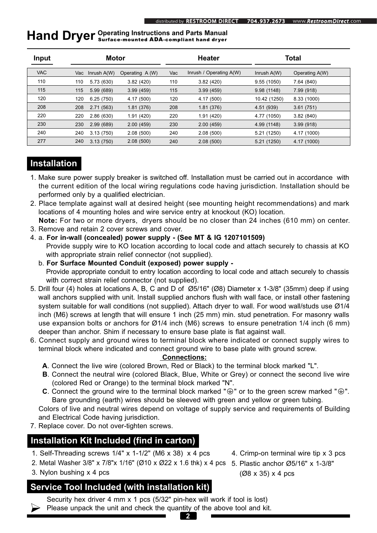### **Hand Dryer** *Operating Instructions and Parts Manual <br> Hand Dryer <i>Surface-mounted ADA-compliant hand dryer*

| Input      | <b>Motor</b> |                 | <b>Heater</b>   |     | Total                   |               |                |  |
|------------|--------------|-----------------|-----------------|-----|-------------------------|---------------|----------------|--|
| <b>VAC</b> |              | Vac Inrush A(W) | Operating A (W) | Vac | Inrush / Operating A(W) | Inrush $A(W)$ | Operating A(W) |  |
| 110        | 110          | 5.73 (630)      | 3.82(420)       | 110 | 3.82(420)               | 9.55(1050)    | 7.64 (840)     |  |
| 115        | 115          | 5.99 (689)      | 3.99(459)       | 115 | 3.99(459)               | 9.98(1148)    | 7.99 (918)     |  |
| 120        | 120          | 6.25(750)       | 4.17 (500)      | 120 | 4.17 (500)              | 10.42 (1250)  | 8.33 (1000)    |  |
| 208        | 208          | 2.71(563)       | 1.81(376)       | 208 | 1.81(376)               | 4.51 (939)    | 3.61(751)      |  |
| 220        | 220          | 2.86(630)       | 1.91(420)       | 220 | 1.91(420)               | 4.77 (1050)   | 3.82(840)      |  |
| 230        | 230          | 2.99(689)       | 2.00(459)       | 230 | 2.00(459)               | 4.99 (1148)   | 3.99(918)      |  |
| 240        | 240          | 3.13(750)       | 2.08(500)       | 240 | 2.08(500)               | 5.21 (1250)   | 4.17 (1000)    |  |
| 277        | 240          | 3.13(750)       | 2.08(500)       | 240 | 2.08(500)               | 5.21 (1250)   | 4.17 (1000)    |  |

#### **Installation**

- 1. Make sure power supply breaker is switched off. Installation must be carried out in accordance with the current edition of the local wiring regulations code having jurisdiction. Installation should be performed only by a qualified electrician.
- 2. Place template against wall at desired height (see mounting height recommendations) and mark locations of 4 mounting holes and wire service entry at knockout (KO) location.
- **Note:** For two or more dryers, dryers should be no closer than 24 inches (610 mm) on center.
- 3. Remove and retain 2 cover screws and cover.
- 4. a. **For in-wall (concealed) power supply (See MT & IG 1207101509)** Provide supply wire to KO location according to local code and attach securely to chassis at KO with appropriate strain relief connector (not supplied).
	- b. **For Surface Mounted Conduit (exposed) power supply**

 Provide appropriate conduit to entry location according to local code and attach securely to chassis with correct strain relief connector (not supplied).

- 5. Drill four (4) holes at locations A, B, C and D of Ø5/16" (Ø8) Diameter x 1-3/8" (35mm) deep if using wall anchors supplied with unit. Install supplied anchors flush with wall face, or install other fastening system suitable for wall conditions (not supplied). Attach dryer to wall. For wood wall/studs use Ø1/4 inch (M6) screws at length that will ensure 1 inch (25 mm) min. stud penetration. For masonry walls use expansion bolts or anchors for Ø1/4 inch (M6) screws to ensure penetration 1/4 inch (6 mm) deeper than anchor. Shim if necessary to ensure base plate is flat against wall.
- 6. Connect supply and ground wires to terminal block where indicated or connect supply wires to terminal block where indicated and connect ground wire to base plate with ground screw.

#### **Connections:**

- **A**. Connect the live wire (colored Brown, Red or Black) to the terminal block marked "L".
- **B**. Connect the neutral wire (colored Black, Blue, White or Grey) or connect the second live wire (colored Red or Orange) to the terminal block marked "N".
- **C**. Connect the ground wire to the terminal block marked " $\oplus$ " or to the green screw marked " $\oplus$ ". Bare grounding (earth) wires should be sleeved with green and yellow or green tubing.

 Colors of live and neutral wires depend on voltage of supply service and requirements of Building and Electrical Code having jurisdiction.

7. Replace cover. Do not over-tighten screws.

#### **Installation Kit Included (find in carton)**

- 1. Self-Threading screws  $1/4$ " x  $1-1/2$ " (M6 x 38) x 4 pcs 4. Crimp-on terminal wire tip x 3 pcs
- 2. Metal Washer 3/8" x 7/8"x 1/16" (Ø10 x Ø22 x 1.6 thk) x 4 pcs 5. Plastic anchor Ø5/16" x 1-3/8"
- 3. Nylon bushing x 4 pcs

#### **Service Tool Included (with installation kit)**

(Ø8 x 35) x 4 pcs

Security hex driver 4 mm x 1 pcs (5/32" pin-hex will work if tool is lost)  $\triangleright$  Please unpack the unit and check the quantity of the above tool and kit.

**2**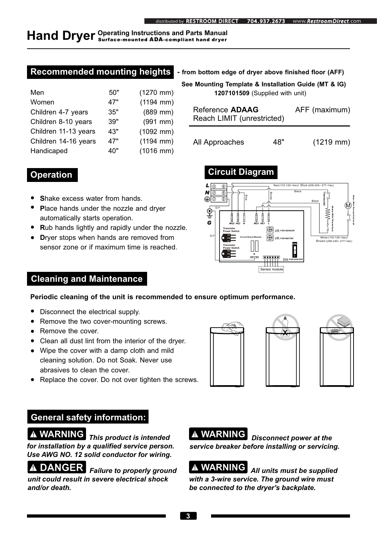## **Hand Dryer** *Operating Instructions and Parts Manual <br> Hand Dryer <i>Surface-mounted ADA-compliant hand dryer*

#### **Recommended mounting heights - from bottom edge of dryer above finished floor (AFF)**

| Men                  | 50" | $(1270$ mm) |
|----------------------|-----|-------------|
| Women                | 47" | $(1194$ mm) |
| Children 4-7 years   | 35" | $(889$ mm)  |
| Children 8-10 years  | 39" | $(991$ mm)  |
| Children 11-13 years | 43" | $(1092$ mm) |
| Children 14-16 years | 47" | $(1194$ mm) |
| Handicaped           | 40" | $(1016$ mm) |

|                            | distributed by RESTROOM DIRECT                                                                                 | 704.937.2673                    | www.RestroomDirect.com                                                     |
|----------------------------|----------------------------------------------------------------------------------------------------------------|---------------------------------|----------------------------------------------------------------------------|
|                            | ions and Parts Manual<br>DA-compliant hand dryer                                                               |                                 |                                                                            |
| ıhts<br>) mm)              | - from bottom edge of dryer above finished floor (AFF)<br>See Mounting Template & Installation Guide (MT & IG) | 1207101509 (Supplied with unit) |                                                                            |
| l mm)<br>mm)<br>$\mid$ mm) | <b>Reference ADAAG</b><br>Reach LIMIT (unrestricted)                                                           |                                 | AFF (maximum)                                                              |
| 2 mm)<br>l mm)<br>ີນ mm)   | All Approaches                                                                                                 | 48"                             | $(1219 \, \text{mm})$                                                      |
|                            | <b>Circuit Diagram</b>                                                                                         |                                 |                                                                            |
| yer                        | ⊕<br>⊕<br>$\oplus$<br>N<br>$\oplus$<br>Blue<br>$_{\oplus}$<br>∣⊕<br>⇔<br>G/Y<br>Ġ                              |                                 | Red (110-120~Vac)/ Blue (208-240~ 277~Vac)<br>Black<br>Thermostal<br>Black |
| he nozzle.<br>مممعه        | MO2 HE2<br><b>Transistor</b><br><b>Power Switch</b><br>G/Y                                                     | MO1 HE1<br><b>VR FOR SENSOR</b> |                                                                            |

 $\bigoplus$  VR

Sensor module

SW.**FOR HEATER**

**ON 1**

**Circuit Board Module**

**G**

> **Transistor Power Switch**

#### **Operation**

- **S**hake excess water from hands.
- **P**lace hands under the nozzle and dryer automatically starts operation.
- **R**ub hands lightly and rapidly under the nozzle.
- **D**ryer stops when hands are removed from sensor zone or if maximum time is reached.

#### **Cleaning and Maintenance**

#### **Periodic cleaning of the unit is recommended to ensure optimum performance.**

- Disconnect the electrical supply.
- Remove the two cover-mounting screws.
- Remove the cover.
- Clean all dust lint from the interior of the dryer.
- Wipe the cover with a damp cloth and mild cleaning solution. Do not Soak. Never use abrasives to clean the cover.
- Replace the cover. Do not over tighten the screws.







White (110-120~Vac)/<br>Brown (208-240~ 277~Vac)

#### **General safety information:**

 *This product is intended for installation by a qualified service person. Use AWG NO. 12 solid conductor for wiring.*

**DANGER** Failure to properly ground *unit could result in severe electrical shock and/or death.*

*A* WARNING **Disconnect power at the** *service breaker before installing or servicing.* 

 *All units must be supplied with a 3-wire service. The ground wire must be connected to the dryer's backplate.*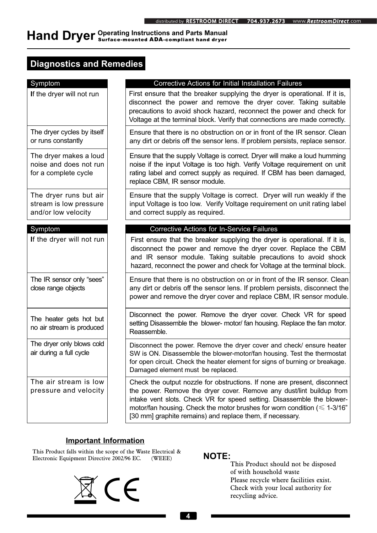### **Hand Dryer** *Operating Instructions and Parts Manual <i>ADA Compliant hand dryer*

#### **Diagnostics and Remedies**

| Symptom                                                                  | <b>Corrective Actions for Initial Installation Failures</b>                                                                                                                                                                                                                                                                                                                 |
|--------------------------------------------------------------------------|-----------------------------------------------------------------------------------------------------------------------------------------------------------------------------------------------------------------------------------------------------------------------------------------------------------------------------------------------------------------------------|
| If the dryer will not run                                                | First ensure that the breaker supplying the dryer is operational. If it is,<br>disconnect the power and remove the dryer cover. Taking suitable<br>precautions to avoid shock hazard, reconnect the power and check for<br>Voltage at the terminal block. Verify that connections are made correctly.                                                                       |
| The dryer cycles by itself<br>or runs constantly                         | Ensure that there is no obstruction on or in front of the IR sensor. Clean<br>any dirt or debris off the sensor lens. If problem persists, replace sensor.                                                                                                                                                                                                                  |
| The dryer makes a loud<br>noise and does not run<br>for a complete cycle | Ensure that the supply Voltage is correct. Dryer will make a loud humming<br>noise if the input Voltage is too high. Verify Voltage requirement on unit<br>rating label and correct supply as required. If CBM has been damaged,<br>replace CBM, IR sensor module.                                                                                                          |
| The dryer runs but air<br>stream is low pressure<br>and/or low velocity  | Ensure that the supply Voltage is correct. Dryer will run weakly if the<br>input Voltage is too low. Verify Voltage requirement on unit rating label<br>and correct supply as required.                                                                                                                                                                                     |
| Symptom                                                                  | <b>Corrective Actions for In-Service Failures</b>                                                                                                                                                                                                                                                                                                                           |
| If the dryer will not run                                                | First ensure that the breaker supplying the dryer is operational. If it is,<br>disconnect the power and remove the dryer cover. Replace the CBM<br>and IR sensor module. Taking suitable precautions to avoid shock<br>hazard, reconnect the power and check for Voltage at the terminal block.                                                                             |
| The IR sensor only "sees"<br>close range objects                         | Ensure that there is no obstruction on or in front of the IR sensor. Clean<br>any dirt or debris off the sensor lens. If problem persists, disconnect the<br>power and remove the dryer cover and replace CBM, IR sensor module.                                                                                                                                            |
| The heater gets hot but<br>no air stream is produced                     | Disconnect the power. Remove the dryer cover. Check VR for speed<br>setting Disassemble the blower- motor/ fan housing. Replace the fan motor.<br>Reassemble.                                                                                                                                                                                                               |
| The dryer only blows cold<br>air during a full cycle                     | Disconnect the power. Remove the dryer cover and check/ ensure heater<br>SW is ON. Disassemble the blower-motor/fan housing. Test the thermostat<br>for open circuit. Check the heater element for signs of burning or breakage.<br>Damaged element must be replaced.                                                                                                       |
| The air stream is low<br>pressure and velocity                           | Check the output nozzle for obstructions. If none are present, disconnect<br>the power. Remove the dryer cover. Remove any dust/lint buildup from<br>intake vent slots. Check VR for speed setting. Disassemble the blower-<br>motor/fan housing. Check the motor brushes for worn condition ( $\leq 1-3/16$ "<br>[30 mm] graphite remains) and replace them, if necessary. |

#### **Important Information**

This Product falls within the scope of the Waste Electrical & Electronic Equipment Directive 2002/96 EC. (WEEE) **NOTE:**



This Product should not be disposed of with household waste Please recycle where facilities exist. Check with your local authority for recycling advice.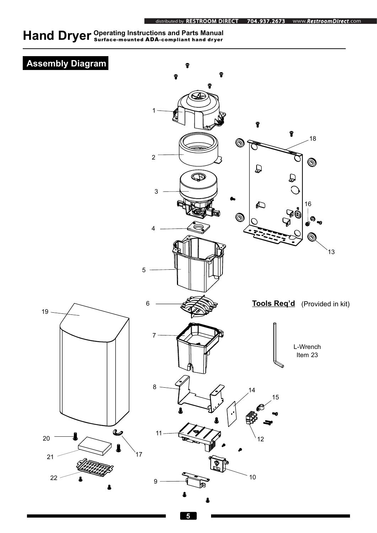## **Hand Dryer** *Operating Instructions and Parts Manual <br>COPYPER Surface-mounted ADA-compliant hand dryer*

### **Assembly Diagram**